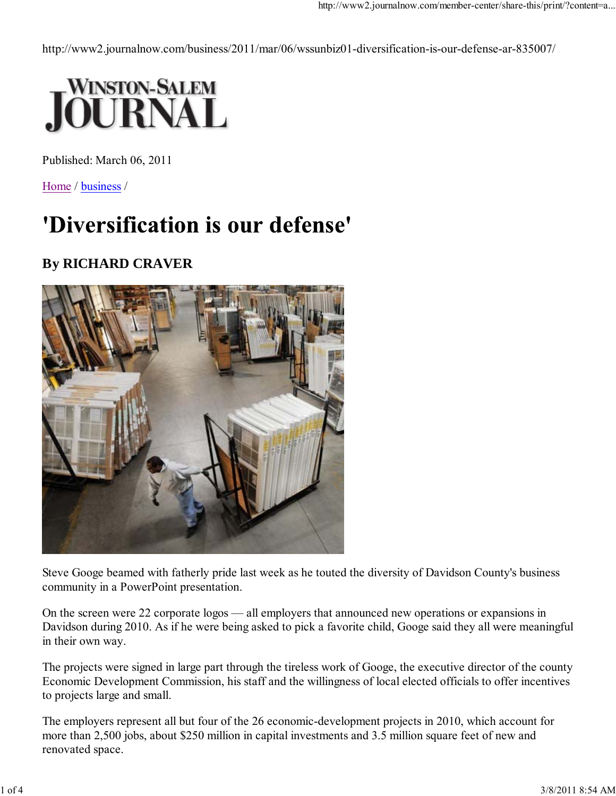http://www2.journalnow.com/business/2011/mar/06/wssunbiz01-diversification-is-our-defense-ar-835007/



Published: March 06, 2011

Home / business /

## 'Diversification is our defense'

## **By RICHARD CRAVER**



Steve Googe beamed with fatherly pride last week as he touted the diversity of Davidson County's business community in a PowerPoint presentation.

On the screen were 22 corporate logos — all employers that announced new operations or expansions in Davidson during 2010. As if he were being asked to pick a favorite child, Googe said they all were meaningful in their own way.

The projects were signed in large part through the tireless work of Googe, the executive director of the county Economic Development Commission, his staff and the willingness of local elected officials to offer incentives to projects large and small.

The employers represent all but four of the 26 economic-development projects in 2010, which account for more than 2,500 jobs, about \$250 million in capital investments and 3.5 million square feet of new and renovated space.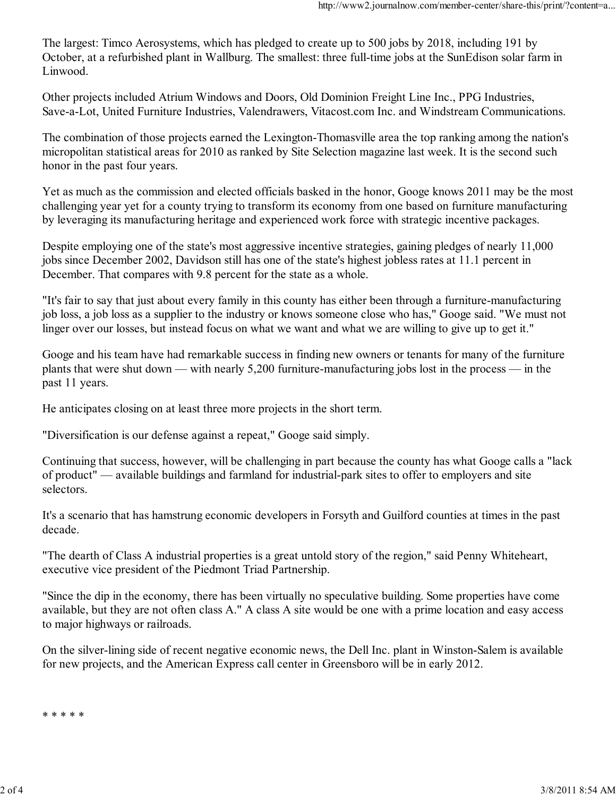The largest: Timco Aerosystems, which has pledged to create up to 500 jobs by 2018, including 191 by October, at a refurbished plant in Wallburg. The smallest: three full-time jobs at the SunEdison solar farm in Linwood.

Other projects included Atrium Windows and Doors, Old Dominion Freight Line Inc., PPG Industries, Save-a-Lot, United Furniture Industries, Valendrawers, Vitacost.com Inc. and Windstream Communications.

The combination of those projects earned the Lexington-Thomasville area the top ranking among the nation's micropolitan statistical areas for 2010 as ranked by Site Selection magazine last week. It is the second such honor in the past four years.

Yet as much as the commission and elected officials basked in the honor, Googe knows 2011 may be the most challenging year yet for a county trying to transform its economy from one based on furniture manufacturing by leveraging its manufacturing heritage and experienced work force with strategic incentive packages.

Despite employing one of the state's most aggressive incentive strategies, gaining pledges of nearly 11,000 jobs since December 2002, Davidson still has one of the state's highest jobless rates at 11.1 percent in December. That compares with 9.8 percent for the state as a whole.

"It's fair to say that just about every family in this county has either been through a furniture-manufacturing job loss, a job loss as a supplier to the industry or knows someone close who has," Googe said. "We must not linger over our losses, but instead focus on what we want and what we are willing to give up to get it."

Googe and his team have had remarkable success in finding new owners or tenants for many of the furniture plants that were shut down — with nearly 5,200 furniture-manufacturing jobs lost in the process — in the past 11 years.

He anticipates closing on at least three more projects in the short term.

"Diversification is our defense against a repeat," Googe said simply.

Continuing that success, however, will be challenging in part because the county has what Googe calls a "lack of product" — available buildings and farmland for industrial-park sites to offer to employers and site selectors.

It's a scenario that has hamstrung economic developers in Forsyth and Guilford counties at times in the past decade.

"The dearth of Class A industrial properties is a great untold story of the region," said Penny Whiteheart, executive vice president of the Piedmont Triad Partnership.

"Since the dip in the economy, there has been virtually no speculative building. Some properties have come available, but they are not often class A." A class A site would be one with a prime location and easy access to major highways or railroads.

On the silver-lining side of recent negative economic news, the Dell Inc. plant in Winston-Salem is available for new projects, and the American Express call center in Greensboro will be in early 2012.

\* \* \* \* \*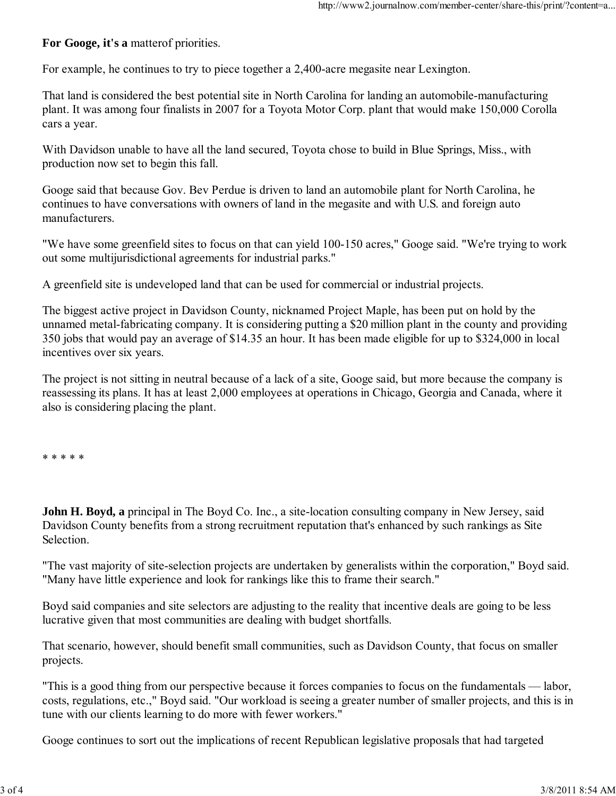## **For Googe, it's a** matterof priorities.

For example, he continues to try to piece together a 2,400-acre megasite near Lexington.

That land is considered the best potential site in North Carolina for landing an automobile-manufacturing plant. It was among four finalists in 2007 for a Toyota Motor Corp. plant that would make 150,000 Corolla cars a year.

With Davidson unable to have all the land secured, Toyota chose to build in Blue Springs, Miss., with production now set to begin this fall.

Googe said that because Gov. Bev Perdue is driven to land an automobile plant for North Carolina, he continues to have conversations with owners of land in the megasite and with U.S. and foreign auto manufacturers.

"We have some greenfield sites to focus on that can yield 100-150 acres," Googe said. "We're trying to work out some multijurisdictional agreements for industrial parks."

A greenfield site is undeveloped land that can be used for commercial or industrial projects.

The biggest active project in Davidson County, nicknamed Project Maple, has been put on hold by the unnamed metal-fabricating company. It is considering putting a \$20 million plant in the county and providing 350 jobs that would pay an average of \$14.35 an hour. It has been made eligible for up to \$324,000 in local incentives over six years.

The project is not sitting in neutral because of a lack of a site, Googe said, but more because the company is reassessing its plans. It has at least 2,000 employees at operations in Chicago, Georgia and Canada, where it also is considering placing the plant.

\* \* \* \* \*

**John H. Boyd, a** principal in The Boyd Co. Inc., a site-location consulting company in New Jersey, said Davidson County benefits from a strong recruitment reputation that's enhanced by such rankings as Site **Selection** 

"The vast majority of site-selection projects are undertaken by generalists within the corporation," Boyd said. "Many have little experience and look for rankings like this to frame their search."

Boyd said companies and site selectors are adjusting to the reality that incentive deals are going to be less lucrative given that most communities are dealing with budget shortfalls.

That scenario, however, should benefit small communities, such as Davidson County, that focus on smaller projects.

"This is a good thing from our perspective because it forces companies to focus on the fundamentals — labor, costs, regulations, etc.," Boyd said. "Our workload is seeing a greater number of smaller projects, and this is in tune with our clients learning to do more with fewer workers."

Googe continues to sort out the implications of recent Republican legislative proposals that had targeted